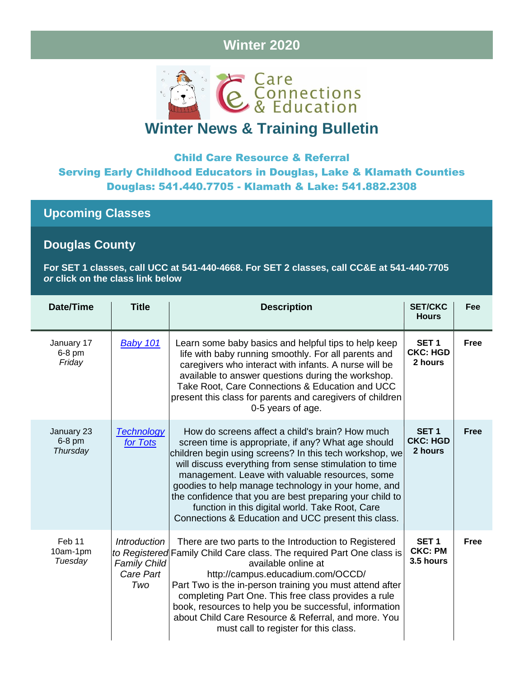# **Winter 2020**



# **Winter News & Training Bulletin**

## Child Care Resource & Referral Serving Early Childhood Educators in Douglas, Lake & Klamath Counties Douglas: 541.440.7705 - Klamath & Lake: 541.882.2308

**Upcoming Classes**

## **Douglas County**

**For SET 1 classes, call UCC at 541-440-4668. For SET 2 classes, call CC&E at 541-440-7705** *or* **click on the class link below**

| <b>Date/Time</b>                   | <b>Title</b>                                                                    | <b>Description</b>                                                                                                                                                                                                                                                                                                                                                                                                                                                                                          | <b>SET/CKC</b><br><b>Hours</b>                  | Fee         |
|------------------------------------|---------------------------------------------------------------------------------|-------------------------------------------------------------------------------------------------------------------------------------------------------------------------------------------------------------------------------------------------------------------------------------------------------------------------------------------------------------------------------------------------------------------------------------------------------------------------------------------------------------|-------------------------------------------------|-------------|
| January 17<br>6-8 pm<br>Friday     | Baby 101                                                                        | Learn some baby basics and helpful tips to help keep<br>life with baby running smoothly. For all parents and<br>caregivers who interact with infants. A nurse will be<br>available to answer questions during the workshop.<br>Take Root, Care Connections & Education and UCC<br>present this class for parents and caregivers of children<br>0-5 years of age.                                                                                                                                            | SET <sub>1</sub><br><b>CKC: HGD</b><br>2 hours  | <b>Free</b> |
| January 23<br>$6-8$ pm<br>Thursday | <b>Technology</b><br>for Tots                                                   | How do screens affect a child's brain? How much<br>screen time is appropriate, if any? What age should<br>children begin using screens? In this tech workshop, we<br>will discuss everything from sense stimulation to time<br>management. Leave with valuable resources, some<br>goodies to help manage technology in your home, and<br>the confidence that you are best preparing your child to<br>function in this digital world. Take Root, Care<br>Connections & Education and UCC present this class. | SET <sub>1</sub><br><b>CKC: HGD</b><br>2 hours  | <b>Free</b> |
| Feb 11<br>10am-1pm<br>Tuesday      | <b>Introduction</b><br>to Registered<br><b>Family Child</b><br>Care Part<br>Two | There are two parts to the Introduction to Registered<br>Family Child Care class. The required Part One class is<br>available online at<br>http://campus.educadium.com/OCCD/<br>Part Two is the in-person training you must attend after<br>completing Part One. This free class provides a rule<br>book, resources to help you be successful, information<br>about Child Care Resource & Referral, and more. You<br>must call to register for this class.                                                  | SET <sub>1</sub><br><b>CKC: PM</b><br>3.5 hours | <b>Free</b> |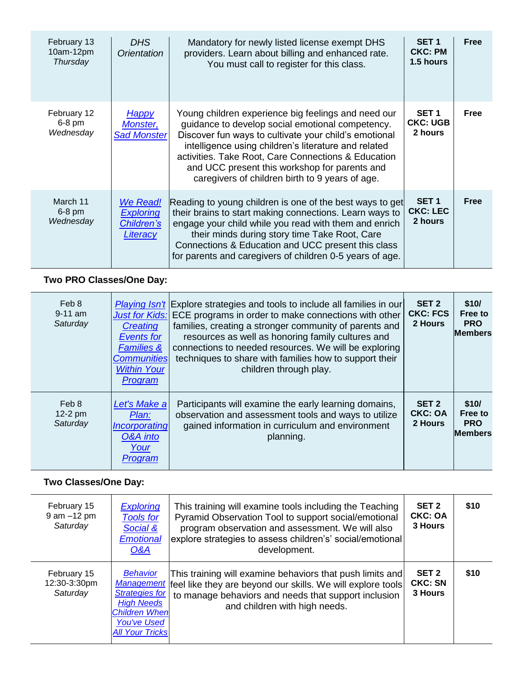| February 13<br>10am-12pm<br>Thursday | DHS.<br>Orientation                                    | Mandatory for newly listed license exempt DHS<br>providers. Learn about billing and enhanced rate.<br>You must call to register for this class.                                                                                                                                                                                                                                     | SET <sub>1</sub><br><b>CKC: PM</b><br>1.5 hours | Free |
|--------------------------------------|--------------------------------------------------------|-------------------------------------------------------------------------------------------------------------------------------------------------------------------------------------------------------------------------------------------------------------------------------------------------------------------------------------------------------------------------------------|-------------------------------------------------|------|
| February 12<br>$6-8$ pm<br>Wednesday | <u>Happy</u><br>Monster,<br><b>Sad Monster</b>         | Young children experience big feelings and need our<br>guidance to develop social emotional competency.<br>Discover fun ways to cultivate your child's emotional<br>intelligence using children's literature and related<br>activities. Take Root, Care Connections & Education<br>and UCC present this workshop for parents and<br>caregivers of children birth to 9 years of age. | SET <sub>1</sub><br><b>CKC: UGB</b><br>2 hours  | Free |
| March 11<br>$6-8$ pm<br>Wednesday    | We Read!<br><b>Exploring</b><br>Children's<br>Literacy | Reading to young children is one of the best ways to get<br>their brains to start making connections. Learn ways to<br>engage your child while you read with them and enrich<br>their minds during story time Take Root, Care<br>Connections & Education and UCC present this class<br>for parents and caregivers of children 0-5 years of age.                                     | SET <sub>1</sub><br><b>CKC: LEC</b><br>2 hours  | Free |

## **Two PRO Classes/One Day:**

| Feb 8<br>$9-11$ am<br>Saturday | <b>Just for Kids:</b><br>Creating<br><b>Events for</b><br><b>Families &amp;</b><br><b>Communities</b><br><b>Within Your</b><br>Program | <i>Playing Isn't</i> Explore strategies and tools to include all families in our<br>ECE programs in order to make connections with other<br>families, creating a stronger community of parents and<br>resources as well as honoring family cultures and<br>connections to needed resources. We will be exploring<br>techniques to share with families how to support their<br>children through play. | SET <sub>2</sub><br><b>CKC: FCS</b><br>2 Hours | \$10/<br>Free to<br><b>PRO</b><br><b>Members</b> |
|--------------------------------|----------------------------------------------------------------------------------------------------------------------------------------|------------------------------------------------------------------------------------------------------------------------------------------------------------------------------------------------------------------------------------------------------------------------------------------------------------------------------------------------------------------------------------------------------|------------------------------------------------|--------------------------------------------------|
| Feb 8<br>12-2 pm<br>Saturday   | Let's Make a<br>Plan:<br>Incorporating<br>O&A into<br>Your<br>Program                                                                  | Participants will examine the early learning domains,<br>observation and assessment tools and ways to utilize<br>gained information in curriculum and environment<br>planning.                                                                                                                                                                                                                       | SET <sub>2</sub><br><b>CKC: OA</b><br>2 Hours  | \$10/<br>Free to<br><b>PRO</b><br><b>Members</b> |

## **Two Classes/One Day:**

| Two Classes/One Day:                    |                                                                                                                                       |                                                                                                                                                                                                                                                  |                                               |      |
|-----------------------------------------|---------------------------------------------------------------------------------------------------------------------------------------|--------------------------------------------------------------------------------------------------------------------------------------------------------------------------------------------------------------------------------------------------|-----------------------------------------------|------|
| February 15<br>9 am -12 pm<br>Saturday  | <b>Exploring</b><br><b>Tools for</b><br>Social &<br><b>Emotional</b><br><b>O&amp;A</b>                                                | This training will examine tools including the Teaching<br>Pyramid Observation Tool to support social/emotional<br>program observation and assessment. We will also<br>explore strategies to assess children's' social/emotional<br>development. | SET <sub>2</sub><br><b>CKC: OA</b><br>3 Hours | \$10 |
| February 15<br>12:30-3:30pm<br>Saturday | <b>Behavior</b><br><b>Strategies for</b><br><b>High Needs</b><br><b>Children When</b><br><b>You've Used</b><br><b>All Your Tricks</b> | This training will examine behaviors that push limits and<br>Management feel like they are beyond our skills. We will explore tools<br>to manage behaviors and needs that support inclusion<br>and children with high needs.                     | SET <sub>2</sub><br><b>CKC: SN</b><br>3 Hours | \$10 |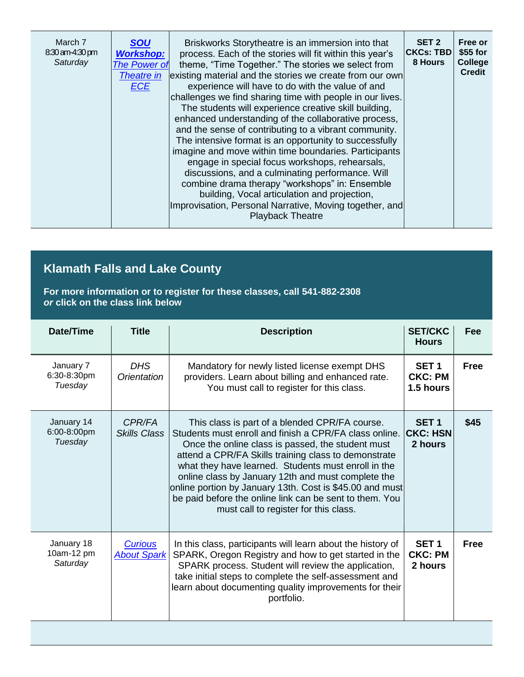| March 7<br><b>SOU</b><br>8:30 am-4:30 pm<br><b>Workshop:</b><br>Saturday<br><b>The Power of</b><br><b>Theatre in</b><br><b>ECE</b> | Briskworks Storytheatre is an immersion into that<br>process. Each of the stories will fit within this year's<br>theme, "Time Together." The stories we select from<br>existing material and the stories we create from our own<br>experience will have to do with the value of and<br>challenges we find sharing time with people in our lives.<br>The students will experience creative skill building,<br>enhanced understanding of the collaborative process,<br>and the sense of contributing to a vibrant community.<br>The intensive format is an opportunity to successfully<br>imagine and move within time boundaries. Participants<br>engage in special focus workshops, rehearsals,<br>discussions, and a culminating performance. Will<br>combine drama therapy "workshops" in: Ensemble<br>building, Vocal articulation and projection,<br>Improvisation, Personal Narrative, Moving together, and<br><b>Playback Theatre</b> | SET <sub>2</sub><br><b>CKCs: TBD</b><br>8 Hours | Free or<br>$$55$ for<br>College<br><b>Credit</b> |
|------------------------------------------------------------------------------------------------------------------------------------|---------------------------------------------------------------------------------------------------------------------------------------------------------------------------------------------------------------------------------------------------------------------------------------------------------------------------------------------------------------------------------------------------------------------------------------------------------------------------------------------------------------------------------------------------------------------------------------------------------------------------------------------------------------------------------------------------------------------------------------------------------------------------------------------------------------------------------------------------------------------------------------------------------------------------------------------|-------------------------------------------------|--------------------------------------------------|
|------------------------------------------------------------------------------------------------------------------------------------|---------------------------------------------------------------------------------------------------------------------------------------------------------------------------------------------------------------------------------------------------------------------------------------------------------------------------------------------------------------------------------------------------------------------------------------------------------------------------------------------------------------------------------------------------------------------------------------------------------------------------------------------------------------------------------------------------------------------------------------------------------------------------------------------------------------------------------------------------------------------------------------------------------------------------------------------|-------------------------------------------------|--------------------------------------------------|

# **Klamath Falls and Lake County**

**For more information or to register for these classes, call 541-882-2308** *or* **click on the class link below**

| Date/Time                            | <b>Title</b>                         | <b>Description</b>                                                                                                                                                                                                                                                                                                                                                                                                                                                                                 | <b>SET/CKC</b><br><b>Hours</b>                  | Fee         |
|--------------------------------------|--------------------------------------|----------------------------------------------------------------------------------------------------------------------------------------------------------------------------------------------------------------------------------------------------------------------------------------------------------------------------------------------------------------------------------------------------------------------------------------------------------------------------------------------------|-------------------------------------------------|-------------|
| January 7<br>6:30-8:30pm<br>Tuesday  | DHS.<br>Orientation                  | Mandatory for newly listed license exempt DHS<br>providers. Learn about billing and enhanced rate.<br>You must call to register for this class.                                                                                                                                                                                                                                                                                                                                                    | SET <sub>1</sub><br><b>CKC: PM</b><br>1.5 hours | <b>Free</b> |
| January 14<br>6:00-8:00pm<br>Tuesday | CPR/FA<br><b>Skills Class</b>        | This class is part of a blended CPR/FA course.<br>Students must enroll and finish a CPR/FA class online.<br>Once the online class is passed, the student must<br>attend a CPR/FA Skills training class to demonstrate<br>what they have learned. Students must enroll in the<br>online class by January 12th and must complete the<br>online portion by January 13th. Cost is \$45.00 and must<br>be paid before the online link can be sent to them. You<br>must call to register for this class. | SET <sub>1</sub><br><b>CKC: HSN</b><br>2 hours  | \$45        |
| January 18<br>10am-12 pm<br>Saturday | <b>Curious</b><br><b>About Spark</b> | In this class, participants will learn about the history of<br>SPARK, Oregon Registry and how to get started in the<br>SPARK process. Student will review the application,<br>take initial steps to complete the self-assessment and<br>learn about documenting quality improvements for their<br>portfolio.                                                                                                                                                                                       | SET <sub>1</sub><br><b>CKC: PM</b><br>2 hours   | <b>Free</b> |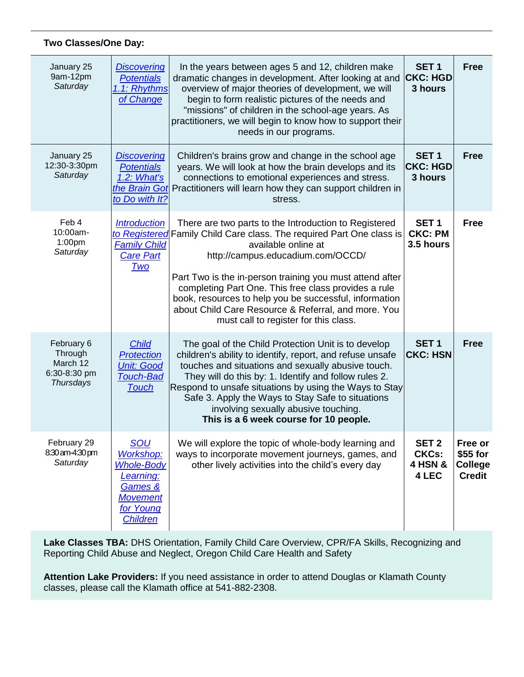### **Two Classes/One Day:**

| January 25<br>9am-12pm<br>Saturday                             | <b>Discovering</b><br><b>Potentials</b><br>1.1: Rhythms<br>of Change                                                                  | In the years between ages 5 and 12, children make<br>dramatic changes in development. After looking at and<br>overview of major theories of development, we will<br>begin to form realistic pictures of the needs and<br>"missions" of children in the school-age years. As<br>practitioners, we will begin to know how to support their<br>needs in our programs.                                                                                         | SET <sub>1</sub><br><b>CKC: HGD</b><br>3 hours                  | <b>Free</b>                                            |
|----------------------------------------------------------------|---------------------------------------------------------------------------------------------------------------------------------------|------------------------------------------------------------------------------------------------------------------------------------------------------------------------------------------------------------------------------------------------------------------------------------------------------------------------------------------------------------------------------------------------------------------------------------------------------------|-----------------------------------------------------------------|--------------------------------------------------------|
| January 25<br>12:30-3:30pm<br>Saturday                         | <b>Discovering</b><br><b>Potentials</b><br>1.2: What's<br>the Brain Got<br>to Do with It?                                             | Children's brains grow and change in the school age<br>years. We will look at how the brain develops and its<br>connections to emotional experiences and stress.<br>Practitioners will learn how they can support children in<br>stress.                                                                                                                                                                                                                   | SET <sub>1</sub><br><b>CKC: HGD</b><br>3 hours                  | <b>Free</b>                                            |
| Feb 4<br>10:00am-<br>1:00 <sub>pm</sub><br>Saturday            | <b>Introduction</b><br>to Registered<br><b>Family Child</b><br><b>Care Part</b><br>Two                                                | There are two parts to the Introduction to Registered<br>Family Child Care class. The required Part One class is<br>available online at<br>http://campus.educadium.com/OCCD/<br>Part Two is the in-person training you must attend after<br>completing Part One. This free class provides a rule<br>book, resources to help you be successful, information<br>about Child Care Resource & Referral, and more. You<br>must call to register for this class. | SET <sub>1</sub><br><b>CKC: PM</b><br>3.5 hours                 | <b>Free</b>                                            |
| February 6<br>Through<br>March 12<br>6:30-8:30 pm<br>Thursdays | <b>Child</b><br><b>Protection</b><br><b>Unit: Good</b><br><b>Touch-Bad</b><br><b>Touch</b>                                            | The goal of the Child Protection Unit is to develop<br>children's ability to identify, report, and refuse unsafe<br>touches and situations and sexually abusive touch.<br>They will do this by: 1. Identify and follow rules 2.<br>Respond to unsafe situations by using the Ways to Stay<br>Safe 3. Apply the Ways to Stay Safe to situations<br>involving sexually abusive touching.<br>This is a 6 week course for 10 people.                           | SET <sub>1</sub><br><b>CKC: HSN</b>                             | <b>Free</b>                                            |
| February 29<br>8:30 am-4:30 pm<br>Saturday                     | <b>SOU</b><br><b>Workshop:</b><br><b>Whole-Body</b><br><u>Learning:</u><br>Games &<br><b>Movement</b><br>for Young<br><b>Children</b> | We will explore the topic of whole-body learning and<br>ways to incorporate movement journeys, games, and<br>other lively activities into the child's every day                                                                                                                                                                                                                                                                                            | SET <sub>2</sub><br><b>CKCs:</b><br><b>4 HSN &amp;</b><br>4 LEC | Free or<br>\$55 for<br><b>College</b><br><b>Credit</b> |

**Lake Classes TBA:** DHS Orientation, Family Child Care Overview, CPR/FA Skills, Recognizing and Reporting Child Abuse and Neglect, Oregon Child Care Health and Safety

**Attention Lake Providers:** If you need assistance in order to attend Douglas or Klamath County classes, please call the Klamath office at 541-882-2308.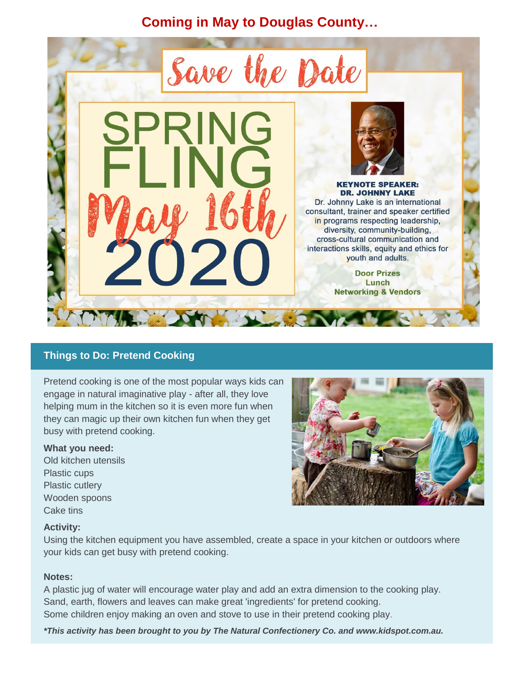**Coming in May to Douglas County…**



### **Things to Do: Pretend Cooking**

Pretend cooking is one of the most popular ways kids can engage in natural imaginative play - after all, they love helping mum in the kitchen so it is even more fun when they can magic up their own kitchen fun when they get busy with pretend cooking.

#### **What you need:**

Old kitchen utensils Plastic cups Plastic cutlery Wooden spoons Cake tins



### **Activity:**

Using the kitchen equipment you have assembled, create a space in your kitchen or outdoors where your kids can get busy with pretend cooking.

#### **Notes:**

A plastic jug of water will encourage water play and add an extra dimension to the cooking play. Sand, earth, flowers and leaves can make great 'ingredients' for pretend cooking. Some children enjoy making an oven and stove to use in their pretend cooking play.

*\*This activity has been brought to you by The Natural Confectionery Co. and www.kidspot.com.au.*